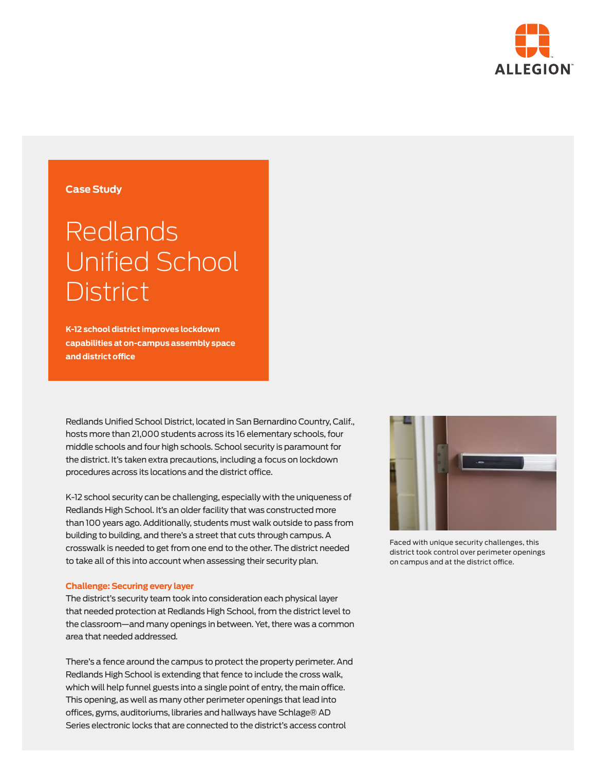

## **Case Study**

# Redlands Unified School **District**

**K-12 school district improves lockdown capabilities at on-campus assembly space and district office**

Redlands Unified School District, located in San Bernardino Country, Calif., hosts more than 21,000 students across its 16 elementary schools, four middle schools and four high schools. School security is paramount for the district. It's taken extra precautions, including a focus on lockdown procedures across its locations and the district office.

K-12 school security can be challenging, especially with the uniqueness of Redlands High School. It's an older facility that was constructed more than 100 years ago. Additionally, students must walk outside to pass from building to building, and there's a street that cuts through campus. A crosswalk is needed to get from one end to the other. The district needed to take all of this into account when assessing their security plan.

#### **Challenge: Securing every layer**

The district's security team took into consideration each physical layer that needed protection at Redlands High School, from the district level to the classroom—and many openings in between. Yet, there was a common area that needed addressed.

There's a fence around the campus to protect the property perimeter. And Redlands High School is extending that fence to include the cross walk, which will help funnel guests into a single point of entry, the main office. This opening, as well as many other perimeter openings that lead into offices, gyms, auditoriums, libraries and hallways have Schlage® AD Series electronic locks that are connected to the district's access control



Faced with unique security challenges, this district took control over perimeter openings on campus and at the district office.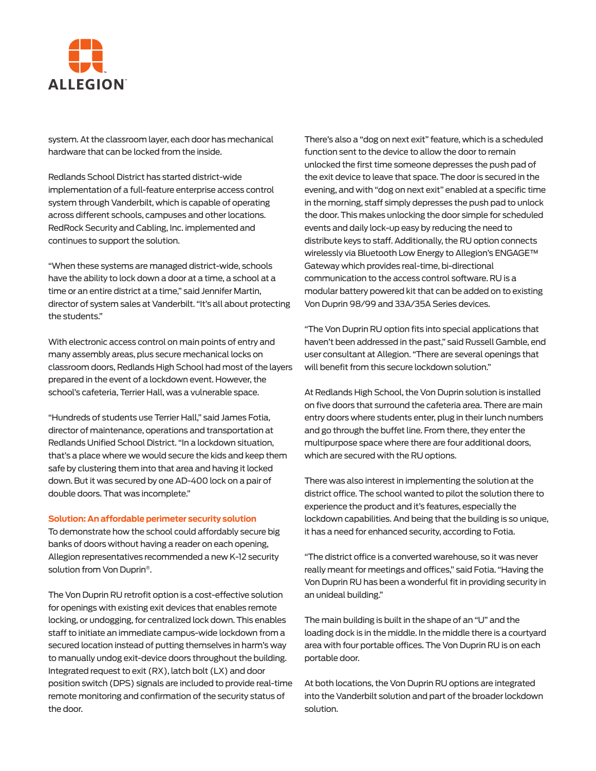

system. At the classroom layer, each door has mechanical hardware that can be locked from the inside.

Redlands School District has started district-wide implementation of a full-feature enterprise access control system through Vanderbilt, which is capable of operating across different schools, campuses and other locations. RedRock Security and Cabling, Inc. implemented and continues to support the solution.

"When these systems are managed district-wide, schools have the ability to lock down a door at a time, a school at a time or an entire district at a time," said Jennifer Martin, director of system sales at Vanderbilt. "It's all about protecting the students."

With electronic access control on main points of entry and many assembly areas, plus secure mechanical locks on classroom doors, Redlands High School had most of the layers prepared in the event of a lockdown event. However, the school's cafeteria, Terrier Hall, was a vulnerable space.

"Hundreds of students use Terrier Hall," said James Fotia, director of maintenance, operations and transportation at Redlands Unified School District. "In a lockdown situation, that's a place where we would secure the kids and keep them safe by clustering them into that area and having it locked down. But it was secured by one AD-400 lock on a pair of double doors. That was incomplete."

#### **Solution: An affordable perimeter security solution**

To demonstrate how the school could affordably secure big banks of doors without having a reader on each opening, Allegion representatives recommended a new K-12 security solution from Von Duprin®.

The Von Duprin RU retrofit option is a cost-effective solution for openings with existing exit devices that enables remote locking, or undogging, for centralized lock down. This enables staff to initiate an immediate campus-wide lockdown from a secured location instead of putting themselves in harm's way to manually undog exit-device doors throughout the building. Integrated request to exit (RX), latch bolt (LX) and door position switch (DPS) signals are included to provide real-time remote monitoring and confirmation of the security status of the door.

There's also a "dog on next exit" feature, which is a scheduled function sent to the device to allow the door to remain unlocked the first time someone depresses the push pad of the exit device to leave that space. The door is secured in the evening, and with "dog on next exit" enabled at a specific time in the morning, staff simply depresses the push pad to unlock the door. This makes unlocking the door simple for scheduled events and daily lock-up easy by reducing the need to distribute keys to staff. Additionally, the RU option connects wirelessly via Bluetooth Low Energy to Allegion's ENGAGE™ Gateway which provides real-time, bi-directional communication to the access control software. RU is a modular battery powered kit that can be added on to existing Von Duprin 98/99 and 33A/35A Series devices.

"The Von Duprin RU option fits into special applications that haven't been addressed in the past," said Russell Gamble, end user consultant at Allegion. "There are several openings that will benefit from this secure lockdown solution."

At Redlands High School, the Von Duprin solution is installed on five doors that surround the cafeteria area. There are main entry doors where students enter, plug in their lunch numbers and go through the buffet line. From there, they enter the multipurpose space where there are four additional doors, which are secured with the RU options.

There was also interest in implementing the solution at the district office. The school wanted to pilot the solution there to experience the product and it's features, especially the lockdown capabilities. And being that the building is so unique, it has a need for enhanced security, according to Fotia.

"The district office is a converted warehouse, so it was never really meant for meetings and offices," said Fotia. "Having the Von Duprin RU has been a wonderful fit in providing security in an unideal building."

The main building is built in the shape of an "U" and the loading dock is in the middle. In the middle there is a courtyard area with four portable offices. The Von Duprin RU is on each portable door.

At both locations, the Von Duprin RU options are integrated into the Vanderbilt solution and part of the broader lockdown solution.